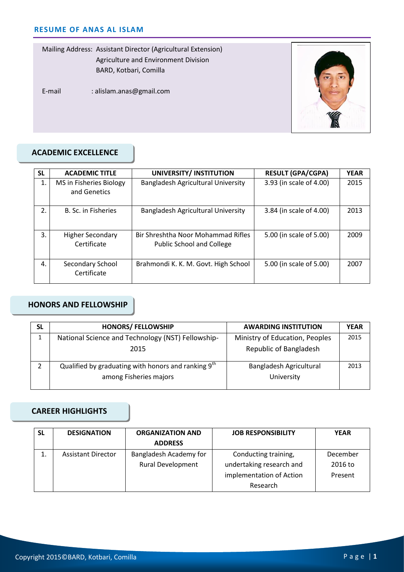Mailing Address: Assistant Director (Agricultural Extension) Agriculture and Environment Division BARD, Kotbari, Comilla

E-mail : alislam.anas@gmail.com



# **ACADEMIC EXCELLENCE**

| <b>SL</b> | <b>ACADEMIC TITLE</b>                   | UNIVERSITY/ INSTITUTION                                                | <b>RESULT (GPA/CGPA)</b> | <b>YEAR</b> |
|-----------|-----------------------------------------|------------------------------------------------------------------------|--------------------------|-------------|
| 1.        | MS in Fisheries Biology<br>and Genetics | Bangladesh Agricultural University                                     | 3.93 (in scale of 4.00)  | 2015        |
| 2.        | B. Sc. in Fisheries                     | Bangladesh Agricultural University                                     | 3.84 (in scale of 4.00)  | 2013        |
| 3.        | <b>Higher Secondary</b><br>Certificate  | Bir Shreshtha Noor Mohammad Rifles<br><b>Public School and College</b> | 5.00 (in scale of 5.00)  | 2009        |
| 4.        | Secondary School<br>Certificate         | Brahmondi K. K. M. Govt. High School                                   | 5.00 (in scale of 5.00)  | 2007        |

# **HONORS AND FELLOWSHIP**

| <b>SL</b> | <b>HONORS/ FELLOWSHIP</b>                                                                 | <b>AWARDING INSTITUTION</b>           | <b>YEAR</b> |
|-----------|-------------------------------------------------------------------------------------------|---------------------------------------|-------------|
| 1         | National Science and Technology (NST) Fellowship-                                         | Ministry of Education, Peoples        | 2015        |
|           | 2015                                                                                      | Republic of Bangladesh                |             |
|           | Qualified by graduating with honors and ranking 9 <sup>th</sup><br>among Fisheries majors | Bangladesh Agricultural<br>University | 2013        |

# **CAREER HIGHLIGHTS**

| SL       | <b>DESIGNATION</b>        | <b>ORGANIZATION AND</b>  | <b>JOB RESPONSIBILITY</b> | <b>YEAR</b> |
|----------|---------------------------|--------------------------|---------------------------|-------------|
|          |                           | <b>ADDRESS</b>           |                           |             |
| <b>.</b> | <b>Assistant Director</b> | Bangladesh Academy for   | Conducting training,      | December    |
|          |                           | <b>Rural Development</b> | undertaking research and  | 2016 to     |
|          |                           |                          | implementation of Action  | Present     |
|          |                           |                          | Research                  |             |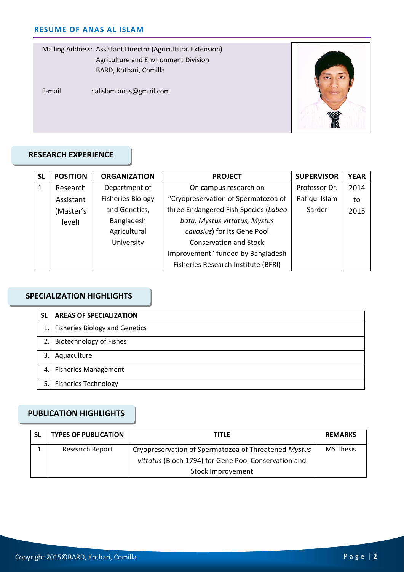Mailing Address: Assistant Director (Agricultural Extension) Agriculture and Environment Division BARD, Kotbari, Comilla

E-mail : alislam.anas@gmail.com



## **RESEARCH EXPERIENCE**

| <b>SL</b> | <b>POSITION</b> | <b>ORGANIZATION</b>      | <b>PROJECT</b>                       | <b>SUPERVISOR</b> | <b>YEAR</b> |
|-----------|-----------------|--------------------------|--------------------------------------|-------------------|-------------|
| 1         | Research        | Department of            | On campus research on                | Professor Dr.     | 2014        |
|           | Assistant       | <b>Fisheries Biology</b> | "Cryopreservation of Spermatozoa of  | Rafiqul Islam     | to          |
|           | (Master's       | and Genetics,            | three Endangered Fish Species (Labeo | Sarder            | 2015        |
|           | level)          | Bangladesh               | bata, Mystus vittatus, Mystus        |                   |             |
|           |                 | Agricultural             | cavasius) for its Gene Pool          |                   |             |
|           |                 | University               | <b>Conservation and Stock</b>        |                   |             |
|           |                 |                          | Improvement" funded by Bangladesh    |                   |             |
|           |                 |                          | Fisheries Research Institute (BFRI)  |                   |             |

#### **SPECIALIZATION HIGHLIGHTS**

| <b>SL</b>        | <b>AREAS OF SPECIALIZATION</b>        |
|------------------|---------------------------------------|
| 1.               | <b>Fisheries Biology and Genetics</b> |
| $\overline{2}$ . | <b>Biotechnology of Fishes</b>        |
| 3.               | Aquaculture                           |
| 4.               | <b>Fisheries Management</b>           |
| 5.               | <b>Fisheries Technology</b>           |

# **PUBLICATION HIGHLIGHTS**

| <b>SL</b> | <b>TYPES OF PUBLICATION</b> | TITLE                                                | <b>REMARKS</b>   |
|-----------|-----------------------------|------------------------------------------------------|------------------|
|           | Research Report             | Cryopreservation of Spermatozoa of Threatened Mystus | <b>MS Thesis</b> |
|           |                             | vittatus (Bloch 1794) for Gene Pool Conservation and |                  |
|           |                             | Stock Improvement                                    |                  |